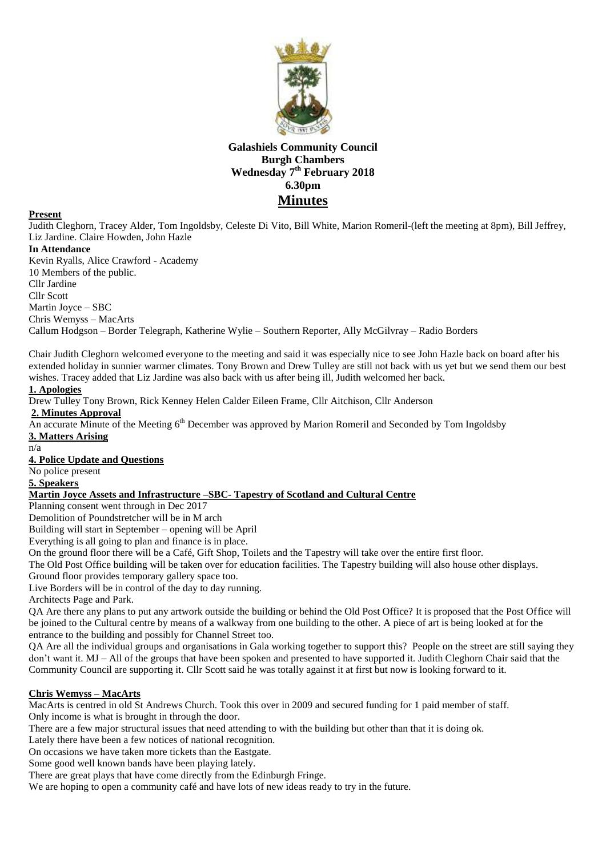

# **Galashiels Community Council Burgh Chambers Wednesday 7 th February 2018 6.30pm Minutes**

### **Present**

Judith Cleghorn, Tracey Alder, Tom Ingoldsby, Celeste Di Vito, Bill White, Marion Romeril-(left the meeting at 8pm), Bill Jeffrey, Liz Jardine. Claire Howden, John Hazle

#### **In Attendance**

Kevin Ryalls, Alice Crawford - Academy 10 Members of the public. Cllr Jardine Cllr Scott Martin Joyce – SBC Chris Wemyss – MacArts Callum Hodgson – Border Telegraph, Katherine Wylie – Southern Reporter, Ally McGilvray – Radio Borders

Chair Judith Cleghorn welcomed everyone to the meeting and said it was especially nice to see John Hazle back on board after his extended holiday in sunnier warmer climates. Tony Brown and Drew Tulley are still not back with us yet but we send them our best wishes. Tracey added that Liz Jardine was also back with us after being ill, Judith welcomed her back.

### **1. Apologies**

Drew Tulley Tony Brown, Rick Kenney Helen Calder Eileen Frame, Cllr Aitchison, Cllr Anderson

**2. Minutes Approval**

An accurate Minute of the Meeting 6<sup>th</sup> December was approved by Marion Romeril and Seconded by Tom Ingoldsby **3. Matters Arising**

n/a

**4. Police Update and Questions**

No police present

#### **5. Speakers**

### **Martin Joyce Assets and Infrastructure –SBC- Tapestry of Scotland and Cultural Centre**

Planning consent went through in Dec 2017

Demolition of Poundstretcher will be in M arch

Building will start in September – opening will be April

Everything is all going to plan and finance is in place.

On the ground floor there will be a Café, Gift Shop, Toilets and the Tapestry will take over the entire first floor.

The Old Post Office building will be taken over for education facilities. The Tapestry building will also house other displays.

Ground floor provides temporary gallery space too.

Live Borders will be in control of the day to day running.

Architects Page and Park.

QA Are there any plans to put any artwork outside the building or behind the Old Post Office? It is proposed that the Post Office will be joined to the Cultural centre by means of a walkway from one building to the other. A piece of art is being looked at for the entrance to the building and possibly for Channel Street too.

QA Are all the individual groups and organisations in Gala working together to support this? People on the street are still saying they don't want it. MJ – All of the groups that have been spoken and presented to have supported it. Judith Cleghorn Chair said that the Community Council are supporting it. Cllr Scott said he was totally against it at first but now is looking forward to it.

## **Chris Wemyss – MacArts**

MacArts is centred in old St Andrews Church. Took this over in 2009 and secured funding for 1 paid member of staff.

Only income is what is brought in through the door.

There are a few major structural issues that need attending to with the building but other than that it is doing ok.

Lately there have been a few notices of national recognition.

On occasions we have taken more tickets than the Eastgate.

Some good well known bands have been playing lately.

There are great plays that have come directly from the Edinburgh Fringe.

We are hoping to open a community café and have lots of new ideas ready to try in the future.